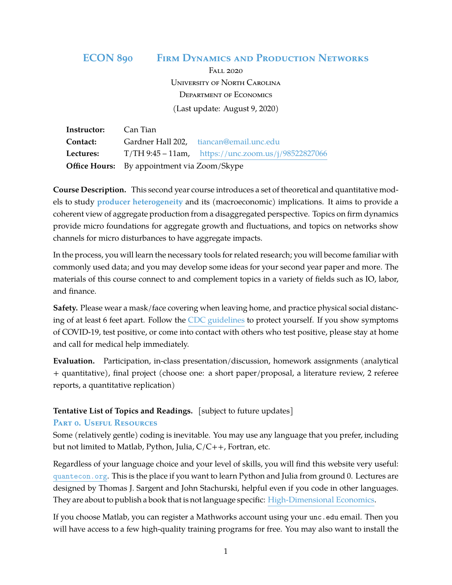# **ECON 890 Firm Dynamics and Production Networks**

Fall 2020 University of North Carolina Department of Economics (Last update: August 9, 2020)

| Instructor: | Can Tian                                           |                                                       |
|-------------|----------------------------------------------------|-------------------------------------------------------|
| Contact:    |                                                    | Gardner Hall 202, tiancan@email.unc.edu               |
| Lectures:   |                                                    | $T/TH9:45 - 11am$ , https://unc.zoom.us/j/98522827066 |
|             | <b>Office Hours:</b> By appointment via Zoom/Skype |                                                       |

**Course Description.** This second year course introduces a set of theoretical and quantitative models to study **producer heterogeneity** and its (macroeconomic) implications. It aims to provide a coherent view of aggregate production from a disaggregated perspective. Topics on firm dynamics provide micro foundations for aggregate growth and fluctuations, and topics on networks show channels for micro disturbances to have aggregate impacts.

In the process, you will learn the necessary tools for related research; you will become familiar with commonly used data; and you may develop some ideas for your second year paper and more. The materials of this course connect to and complement topics in a variety of fields such as IO, labor, and finance.

**Safety.** Please wear a mask/face covering when leaving home, and practice physical social distancing of at least 6 feet apart. Follow the [CDC guidelines](https://www.cdc.gov/coronavirus/2019-ncov/index.html) to protect yourself. If you show symptoms of COVID-19, test positive, or come into contact with others who test positive, please stay at home and call for medical help immediately.

**Evaluation.** Participation, in-class presentation/discussion, homework assignments (analytical + quantitative), final project (choose one: a short paper/proposal, a literature review, 2 referee reports, a quantitative replication)

## **Tentative List of Topics and Readings.** [subject to future updates]

#### **Part 0. Useful Resources**

Some (relatively gentle) coding is inevitable. You may use any language that you prefer, including but not limited to Matlab, Python, Julia,  $C/C++$ , Fortran, etc.

Regardless of your language choice and your level of skills, you will find this website very useful: [quantecon.org](https://quantecon.org). This is the place if you want to learn Python and Julia from ground 0. Lectures are designed by Thomas J. Sargent and John Stachurski, helpful even if you code in other languages. They are about to publish a book that is not language specific: [High-Dimensional Economics.](https://quantecon.org/assets/downloads/main.pdf)

If you choose Matlab, you can register a Mathworks account using your unc.edu email. Then you will have access to a few high-quality training programs for free. You may also want to install the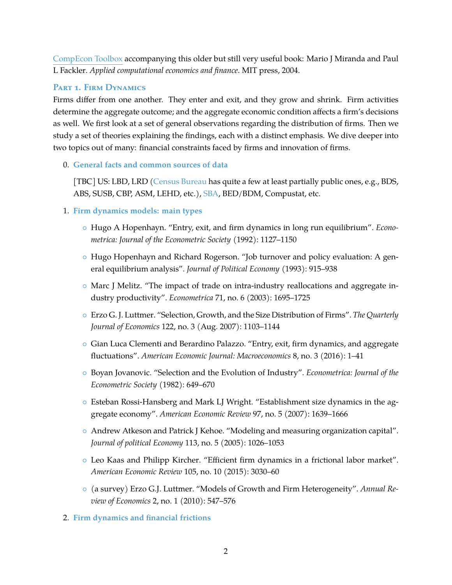[CompEcon Toolbox](https://pfackler.wordpress.ncsu.edu/compecon/154-2/) accompanying this older but still very useful book: Mario J Miranda and Paul L Fackler. *Applied computational economics and finance*. MIT press, 2004.

# **Part 1. Firm Dynamics**

Firms differ from one another. They enter and exit, and they grow and shrink. Firm activities determine the aggregate outcome; and the aggregate economic condition affects a firm's decisions as well. We first look at a set of general observations regarding the distribution of firms. Then we study a set of theories explaining the findings, each with a distinct emphasis. We dive deeper into two topics out of many: financial constraints faced by firms and innovation of firms.

0. **General facts and common sources of data**

[TBC] US: LBD, LRD [\(Census Bureau](https://www.census.gov/topics/business-economy/dynamics.html) has quite a few at least partially public ones, e.g., BDS, ABS, SUSB, CBP, ASM, LEHD, etc.), [SBA,](https://advocacy.sba.gov/data-on-small-business/) BED/BDM, Compustat, etc.

- 1. **Firm dynamics models: main types**
	- Hugo A Hopenhayn. "Entry, exit, and firm dynamics in long run equilibrium". *Econometrica: Journal of the Econometric Society* (1992): 1127–1150
	- Hugo Hopenhayn and Richard Rogerson. "Job turnover and policy evaluation: A general equilibrium analysis". *Journal of Political Economy* (1993): 915–938
	- Marc J Melitz. "The impact of trade on intra-industry reallocations and aggregate industry productivity". *Econometrica* 71, no. 6 (2003): 1695–1725
	- Erzo G. J. Luttmer. "Selection, Growth, and the Size Distribution of Firms". *The Quarterly Journal of Economics* 122, no. 3 (Aug. 2007): 1103–1144
	- Gian Luca Clementi and Berardino Palazzo. "Entry, exit, firm dynamics, and aggregate fluctuations". *American Economic Journal: Macroeconomics* 8, no. 3 (2016): 1–41
	- Boyan Jovanovic. "Selection and the Evolution of Industry". *Econometrica: Journal of the Econometric Society* (1982): 649–670
	- Esteban Rossi-Hansberg and Mark LJ Wright. "Establishment size dynamics in the aggregate economy". *American Economic Review* 97, no. 5 (2007): 1639–1666
	- Andrew Atkeson and Patrick J Kehoe. "Modeling and measuring organization capital". *Journal of political Economy* 113, no. 5 (2005): 1026–1053
	- Leo Kaas and Philipp Kircher. "Efficient firm dynamics in a frictional labor market". *American Economic Review* 105, no. 10 (2015): 3030–60
	- (a survey) Erzo G.J. Luttmer. "Models of Growth and Firm Heterogeneity". *Annual Review of Economics* 2, no. 1 (2010): 547–576
- 2. **Firm dynamics and financial frictions**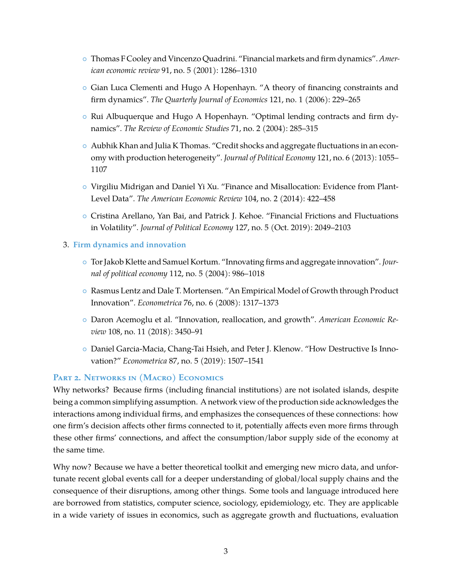- Thomas F Cooley and Vincenzo Quadrini. "Financial markets and firm dynamics". *American economic review* 91, no. 5 (2001): 1286–1310
- Gian Luca Clementi and Hugo A Hopenhayn. "A theory of financing constraints and firm dynamics". *The Quarterly Journal of Economics* 121, no. 1 (2006): 229–265
- Rui Albuquerque and Hugo A Hopenhayn. "Optimal lending contracts and firm dynamics". *The Review of Economic Studies* 71, no. 2 (2004): 285–315
- Aubhik Khan and Julia K Thomas. "Credit shocks and aggregate fluctuations in an economy with production heterogeneity". *Journal of Political Economy* 121, no. 6 (2013): 1055– 1107
- Virgiliu Midrigan and Daniel Yi Xu. "Finance and Misallocation: Evidence from Plant-Level Data". *The American Economic Review* 104, no. 2 (2014): 422–458
- Cristina Arellano, Yan Bai, and Patrick J. Kehoe. "Financial Frictions and Fluctuations in Volatility". *Journal of Political Economy* 127, no. 5 (Oct. 2019): 2049–2103

#### 3. **Firm dynamics and innovation**

- Tor Jakob Klette and Samuel Kortum. "Innovating firms and aggregate innovation". *Journal of political economy* 112, no. 5 (2004): 986–1018
- Rasmus Lentz and Dale T. Mortensen. "An Empirical Model of Growth through Product Innovation". *Econometrica* 76, no. 6 (2008): 1317–1373
- Daron Acemoglu et al. "Innovation, reallocation, and growth". *American Economic Review* 108, no. 11 (2018): 3450–91
- Daniel Garcia-Macia, Chang-Tai Hsieh, and Peter J. Klenow. "How Destructive Is Innovation?" *Econometrica* 87, no. 5 (2019): 1507–1541

## **Part 2. Networks in (Macro) Economics**

Why networks? Because firms (including financial institutions) are not isolated islands, despite being a common simplifying assumption. A network view of the production side acknowledges the interactions among individual firms, and emphasizes the consequences of these connections: how one firm's decision affects other firms connected to it, potentially affects even more firms through these other firms' connections, and affect the consumption/labor supply side of the economy at the same time.

Why now? Because we have a better theoretical toolkit and emerging new micro data, and unfortunate recent global events call for a deeper understanding of global/local supply chains and the consequence of their disruptions, among other things. Some tools and language introduced here are borrowed from statistics, computer science, sociology, epidemiology, etc. They are applicable in a wide variety of issues in economics, such as aggregate growth and fluctuations, evaluation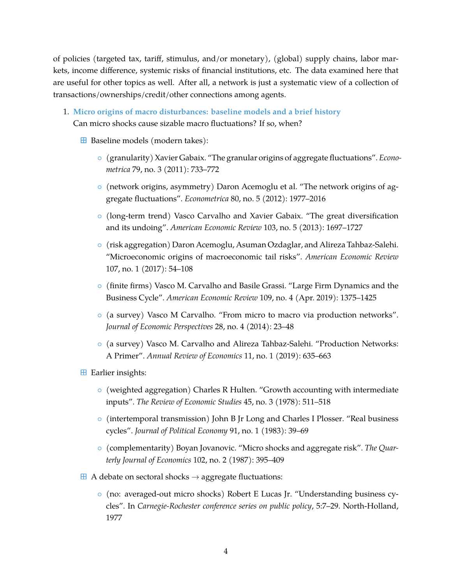of policies (targeted tax, tariff, stimulus, and/or monetary), (global) supply chains, labor markets, income difference, systemic risks of financial institutions, etc. The data examined here that are useful for other topics as well. After all, a network is just a systematic view of a collection of transactions/ownerships/credit/other connections among agents.

- 1. **Micro origins of macro disturbances: baseline models and a brief history** Can micro shocks cause sizable macro fluctuations? If so, when?
	- $\boxplus$  Baseline models (modern takes):
		- (granularity) Xavier Gabaix. "The granular origins of aggregate fluctuations". *Econometrica* 79, no. 3 (2011): 733–772
		- (network origins, asymmetry) Daron Acemoglu et al. "The network origins of aggregate fluctuations". *Econometrica* 80, no. 5 (2012): 1977–2016
		- (long-term trend) Vasco Carvalho and Xavier Gabaix. "The great diversification and its undoing". *American Economic Review* 103, no. 5 (2013): 1697–1727
		- (risk aggregation) Daron Acemoglu, Asuman Ozdaglar, and Alireza Tahbaz-Salehi. "Microeconomic origins of macroeconomic tail risks". *American Economic Review* 107, no. 1 (2017): 54–108
		- (finite firms) Vasco M. Carvalho and Basile Grassi. "Large Firm Dynamics and the Business Cycle". *American Economic Review* 109, no. 4 (Apr. 2019): 1375–1425
		- (a survey) Vasco M Carvalho. "From micro to macro via production networks". *Journal of Economic Perspectives* 28, no. 4 (2014): 23–48
		- (a survey) Vasco M. Carvalho and Alireza Tahbaz-Salehi. "Production Networks: A Primer". *Annual Review of Economics* 11, no. 1 (2019): 635–663
	- $\boxplus$  Earlier insights:
		- (weighted aggregation) Charles R Hulten. "Growth accounting with intermediate inputs". *The Review of Economic Studies* 45, no. 3 (1978): 511–518
		- (intertemporal transmission) John B Jr Long and Charles I Plosser. "Real business cycles". *Journal of Political Economy* 91, no. 1 (1983): 39–69
		- (complementarity) Boyan Jovanovic. "Micro shocks and aggregate risk". *The Quarterly Journal of Economics* 102, no. 2 (1987): 395–409
	- $\overline{H}$  A debate on sectoral shocks  $\rightarrow$  aggregate fluctuations:
		- (no: averaged-out micro shocks) Robert E Lucas Jr. "Understanding business cycles". In *Carnegie-Rochester conference series on public policy*, 5:7–29. North-Holland, 1977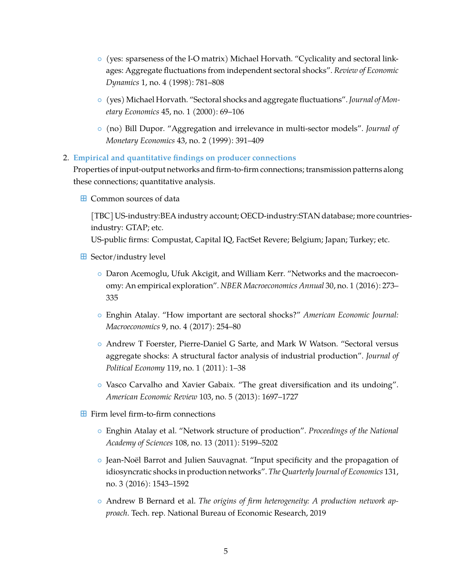- (yes: sparseness of the I-O matrix) Michael Horvath. "Cyclicality and sectoral linkages: Aggregate fluctuations from independent sectoral shocks". *Review of Economic Dynamics* 1, no. 4 (1998): 781–808
- (yes) Michael Horvath. "Sectoral shocks and aggregate fluctuations". *Journal of Monetary Economics* 45, no. 1 (2000): 69–106
- (no) Bill Dupor. "Aggregation and irrelevance in multi-sector models". *Journal of Monetary Economics* 43, no. 2 (1999): 391–409
- 2. **Empirical and quantitative findings on producer connections**

Properties of input-output networks and firm-to-firm connections; transmission patterns along these connections; quantitative analysis.

**H** Common sources of data

[TBC] US-industry:BEA industry account; OECD-industry:STAN database; more countriesindustry: GTAP; etc.

US-public firms: Compustat, Capital IQ, FactSet Revere; Belgium; Japan; Turkey; etc.

- **E** Sector/industry level
	- Daron Acemoglu, Ufuk Akcigit, and William Kerr. "Networks and the macroeconomy: An empirical exploration". *NBER Macroeconomics Annual* 30, no. 1 (2016): 273– 335
	- Enghin Atalay. "How important are sectoral shocks?" *American Economic Journal: Macroeconomics* 9, no. 4 (2017): 254–80
	- Andrew T Foerster, Pierre-Daniel G Sarte, and Mark W Watson. "Sectoral versus aggregate shocks: A structural factor analysis of industrial production". *Journal of Political Economy* 119, no. 1 (2011): 1–38
	- Vasco Carvalho and Xavier Gabaix. "The great diversification and its undoing". *American Economic Review* 103, no. 5 (2013): 1697–1727
- $\blacksquare$  Firm level firm-to-firm connections
	- Enghin Atalay et al. "Network structure of production". *Proceedings of the National Academy of Sciences* 108, no. 13 (2011): 5199–5202
	- Jean-Noël Barrot and Julien Sauvagnat. "Input specificity and the propagation of idiosyncratic shocks in production networks". *The Quarterly Journal of Economics* 131, no. 3 (2016): 1543–1592
	- Andrew B Bernard et al. *The origins of firm heterogeneity: A production network approach*. Tech. rep. National Bureau of Economic Research, 2019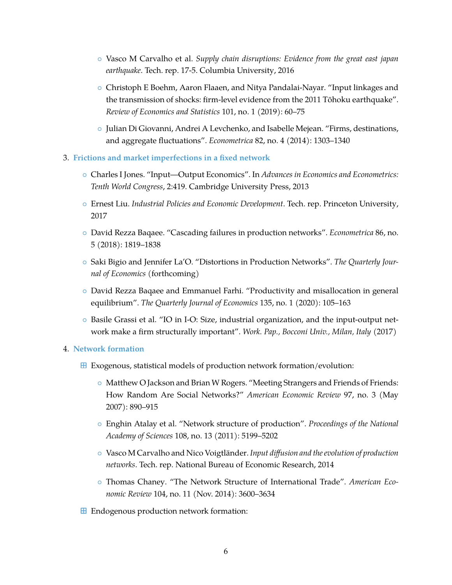- Vasco M Carvalho et al. *Supply chain disruptions: Evidence from the great east japan earthquake*. Tech. rep. 17-5. Columbia University, 2016
- Christoph E Boehm, Aaron Flaaen, and Nitya Pandalai-Nayar. "Input linkages and the transmission of shocks: firm-level evidence from the 2011 Tōhoku earthquake". *Review of Economics and Statistics* 101, no. 1 (2019): 60–75
- Julian Di Giovanni, Andrei A Levchenko, and Isabelle Mejean. "Firms, destinations, and aggregate fluctuations". *Econometrica* 82, no. 4 (2014): 1303–1340
- 3. **Frictions and market imperfections in a fixed network**
	- Charles I Jones. "Input—Output Economics". In *Advances in Economics and Econometrics: Tenth World Congress*, 2:419. Cambridge University Press, 2013
	- Ernest Liu. *Industrial Policies and Economic Development*. Tech. rep. Princeton University, 2017
	- David Rezza Baqaee. "Cascading failures in production networks". *Econometrica* 86, no. 5 (2018): 1819–1838
	- Saki Bigio and Jennifer La'O. "Distortions in Production Networks". *The Quarterly Journal of Economics* (forthcoming)
	- David Rezza Baqaee and Emmanuel Farhi. "Productivity and misallocation in general equilibrium". *The Quarterly Journal of Economics* 135, no. 1 (2020): 105–163
	- Basile Grassi et al. "IO in I-O: Size, industrial organization, and the input-output network make a firm structurally important". *Work. Pap., Bocconi Univ., Milan, Italy* (2017)

#### 4. **Network formation**

- $\boxplus$  Exogenous, statistical models of production network formation/evolution:
	- Matthew O Jackson and Brian W Rogers. "Meeting Strangers and Friends of Friends: How Random Are Social Networks?" *American Economic Review* 97, no. 3 (May 2007): 890–915
	- Enghin Atalay et al. "Network structure of production". *Proceedings of the National Academy of Sciences* 108, no. 13 (2011): 5199–5202
	- Vasco M Carvalho and Nico Voigtländer. *Input diffusion and the evolution of production networks*. Tech. rep. National Bureau of Economic Research, 2014
	- Thomas Chaney. "The Network Structure of International Trade". *American Economic Review* 104, no. 11 (Nov. 2014): 3600–3634
- **E** Endogenous production network formation: